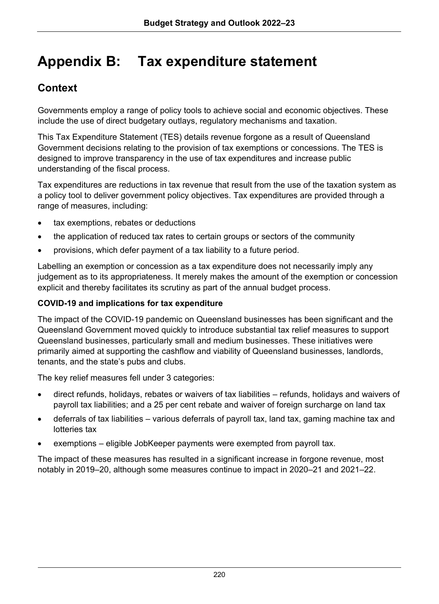# **Appendix B: Tax expenditure statement**

# **Context**

Governments employ a range of policy tools to achieve social and economic objectives. These include the use of direct budgetary outlays, regulatory mechanisms and taxation.

This Tax Expenditure Statement (TES) details revenue forgone as a result of Queensland Government decisions relating to the provision of tax exemptions or concessions. The TES is designed to improve transparency in the use of tax expenditures and increase public understanding of the fiscal process.

Tax expenditures are reductions in tax revenue that result from the use of the taxation system as a policy tool to deliver government policy objectives. Tax expenditures are provided through a range of measures, including:

- tax exemptions, rebates or deductions
- the application of reduced tax rates to certain groups or sectors of the community
- provisions, which defer payment of a tax liability to a future period.

Labelling an exemption or concession as a tax expenditure does not necessarily imply any judgement as to its appropriateness. It merely makes the amount of the exemption or concession explicit and thereby facilitates its scrutiny as part of the annual budget process.

#### **COVID-19 and implications for tax expenditure**

The impact of the COVID-19 pandemic on Queensland businesses has been significant and the Queensland Government moved quickly to introduce substantial tax relief measures to support Queensland businesses, particularly small and medium businesses. These initiatives were primarily aimed at supporting the cashflow and viability of Queensland businesses, landlords, tenants, and the state's pubs and clubs.

The key relief measures fell under 3 categories:

- direct refunds, holidays, rebates or waivers of tax liabilities refunds, holidays and waivers of payroll tax liabilities; and a 25 per cent rebate and waiver of foreign surcharge on land tax
- deferrals of tax liabilities various deferrals of payroll tax, land tax, gaming machine tax and lotteries tax
- exemptions eligible JobKeeper payments were exempted from payroll tax.

The impact of these measures has resulted in a significant increase in forgone revenue, most notably in 2019–20, although some measures continue to impact in 2020–21 and 2021–22.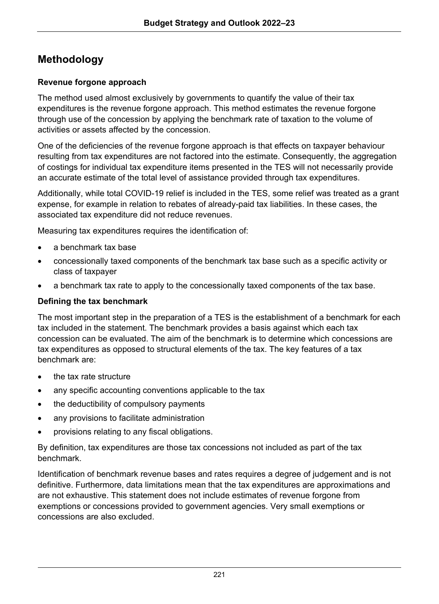# **Methodology**

#### **Revenue forgone approach**

The method used almost exclusively by governments to quantify the value of their tax expenditures is the revenue forgone approach. This method estimates the revenue forgone through use of the concession by applying the benchmark rate of taxation to the volume of activities or assets affected by the concession.

One of the deficiencies of the revenue forgone approach is that effects on taxpayer behaviour resulting from tax expenditures are not factored into the estimate. Consequently, the aggregation of costings for individual tax expenditure items presented in the TES will not necessarily provide an accurate estimate of the total level of assistance provided through tax expenditures.

Additionally, while total COVID-19 relief is included in the TES, some relief was treated as a grant expense, for example in relation to rebates of already-paid tax liabilities. In these cases, the associated tax expenditure did not reduce revenues.

Measuring tax expenditures requires the identification of:

- a benchmark tax base
- concessionally taxed components of the benchmark tax base such as a specific activity or class of taxpayer
- a benchmark tax rate to apply to the concessionally taxed components of the tax base.

#### **Defining the tax benchmark**

The most important step in the preparation of a TES is the establishment of a benchmark for each tax included in the statement. The benchmark provides a basis against which each tax concession can be evaluated. The aim of the benchmark is to determine which concessions are tax expenditures as opposed to structural elements of the tax. The key features of a tax benchmark are:

- the tax rate structure
- any specific accounting conventions applicable to the tax
- the deductibility of compulsory payments
- any provisions to facilitate administration
- provisions relating to any fiscal obligations.

By definition, tax expenditures are those tax concessions not included as part of the tax benchmark.

Identification of benchmark revenue bases and rates requires a degree of judgement and is not definitive. Furthermore, data limitations mean that the tax expenditures are approximations and are not exhaustive. This statement does not include estimates of revenue forgone from exemptions or concessions provided to government agencies. Very small exemptions or concessions are also excluded.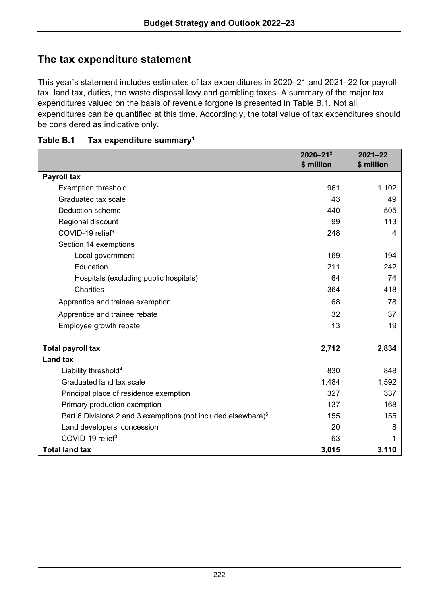### **The tax expenditure statement**

This year's statement includes estimates of tax expenditures in 2020–21 and 2021–22 for payroll tax, land tax, duties, the waste disposal levy and gambling taxes. A summary of the major tax expenditures valued on the basis of revenue forgone is presented in Table B.1. Not all expenditures can be quantified at this time. Accordingly, the total value of tax expenditures should be considered as indicative only.

|                                                                           | $2020 - 21^2$<br>\$ million | $2021 - 22$<br>\$ million |
|---------------------------------------------------------------------------|-----------------------------|---------------------------|
| Payroll tax                                                               |                             |                           |
| <b>Exemption threshold</b>                                                | 961                         | 1,102                     |
| Graduated tax scale                                                       | 43                          | 49                        |
| Deduction scheme                                                          | 440                         | 505                       |
| Regional discount                                                         | 99                          | 113                       |
| COVID-19 relief <sup>3</sup>                                              | 248                         | 4                         |
| Section 14 exemptions                                                     |                             |                           |
| Local government                                                          | 169                         | 194                       |
| Education                                                                 | 211                         | 242                       |
| Hospitals (excluding public hospitals)                                    | 64                          | 74                        |
| Charities                                                                 | 364                         | 418                       |
| Apprentice and trainee exemption                                          | 68                          | 78                        |
| Apprentice and trainee rebate                                             | 32                          | 37                        |
| Employee growth rebate                                                    | 13                          | 19                        |
| Total payroll tax                                                         | 2,712                       | 2,834                     |
| Land tax                                                                  |                             |                           |
| Liability threshold <sup>4</sup>                                          | 830                         | 848                       |
| Graduated land tax scale                                                  | 1,484                       | 1,592                     |
| Principal place of residence exemption                                    | 327                         | 337                       |
| Primary production exemption                                              | 137                         | 168                       |
| Part 6 Divisions 2 and 3 exemptions (not included elsewhere) <sup>5</sup> | 155                         | 155                       |
| Land developers' concession                                               | 20                          | 8                         |
| COVID-19 relief <sup>3</sup>                                              | 63                          | 1                         |
| <b>Total land tax</b>                                                     | 3,015                       | 3,110                     |

#### **Table B.1 Tax expenditure summary1**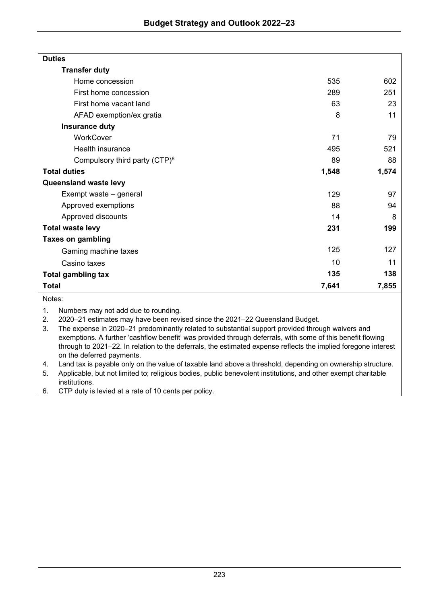| <b>Duties</b>                             |                 |       |
|-------------------------------------------|-----------------|-------|
| <b>Transfer duty</b>                      |                 |       |
| Home concession                           | 535             | 602   |
| First home concession                     | 289             | 251   |
| First home vacant land                    | 63              | 23    |
| AFAD exemption/ex gratia                  | 8               | 11    |
| Insurance duty                            |                 |       |
| WorkCover                                 | 71              | 79    |
| Health insurance                          | 495             | 521   |
| Compulsory third party (CTP) <sup>6</sup> | 89              | 88    |
| <b>Total duties</b>                       | 1,548           | 1,574 |
| Queensland waste levy                     |                 |       |
| Exempt waste – general                    | 129             | 97    |
| Approved exemptions                       | 88              | 94    |
| Approved discounts                        | 14              | 8     |
| <b>Total waste levy</b>                   | 231             | 199   |
| <b>Taxes on gambling</b>                  |                 |       |
| Gaming machine taxes                      | 125             | 127   |
| Casino taxes                              | 10 <sup>1</sup> | 11    |
| Total gambling tax                        | 135             | 138   |
| Total                                     | 7,641           | 7,855 |

Notes:

1. Numbers may not add due to rounding.

2. 2020–21 estimates may have been revised since the 2021–22 Queensland Budget.<br>3. The expense in 2020–21 predominantly related to substantial support provided throu

3. The expense in 2020–21 predominantly related to substantial support provided through waivers and exemptions. A further 'cashflow benefit' was provided through deferrals, with some of this benefit flowing through to 2021–22. In relation to the deferrals, the estimated expense reflects the implied foregone interest on the deferred payments.

4. Land tax is payable only on the value of taxable land above a threshold, depending on ownership structure.<br>5. Applicable, but not limited to; religious bodies, public benevolent institutions, and other exempt charitable

5. Applicable, but not limited to; religious bodies, public benevolent institutions, and other exempt charitable institutions.

6. CTP duty is levied at a rate of 10 cents per policy.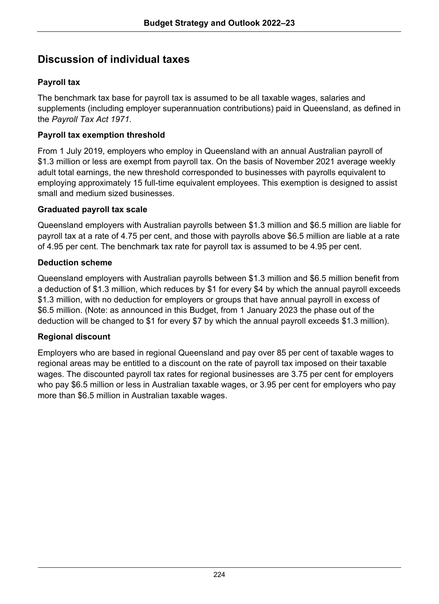### **Discussion of individual taxes**

#### **Payroll tax**

The benchmark tax base for payroll tax is assumed to be all taxable wages, salaries and supplements (including employer superannuation contributions) paid in Queensland, as defined in the *Payroll Tax Act 1971*.

#### **Payroll tax exemption threshold**

From 1 July 2019, employers who employ in Queensland with an annual Australian payroll of \$1.3 million or less are exempt from payroll tax. On the basis of November 2021 average weekly adult total earnings, the new threshold corresponded to businesses with payrolls equivalent to employing approximately 15 full-time equivalent employees. This exemption is designed to assist small and medium sized businesses.

#### **Graduated payroll tax scale**

Queensland employers with Australian payrolls between \$1.3 million and \$6.5 million are liable for payroll tax at a rate of 4.75 per cent, and those with payrolls above \$6.5 million are liable at a rate of 4.95 per cent. The benchmark tax rate for payroll tax is assumed to be 4.95 per cent.

#### **Deduction scheme**

Queensland employers with Australian payrolls between \$1.3 million and \$6.5 million benefit from a deduction of \$1.3 million, which reduces by \$1 for every \$4 by which the annual payroll exceeds \$1.3 million, with no deduction for employers or groups that have annual payroll in excess of \$6.5 million. (Note: as announced in this Budget, from 1 January 2023 the phase out of the deduction will be changed to \$1 for every \$7 by which the annual payroll exceeds \$1.3 million).

#### **Regional discount**

Employers who are based in regional Queensland and pay over 85 per cent of taxable wages to regional areas may be entitled to a discount on the rate of payroll tax imposed on their taxable wages. The discounted payroll tax rates for regional businesses are 3.75 per cent for employers who pay \$6.5 million or less in Australian taxable wages, or 3.95 per cent for employers who pay more than \$6.5 million in Australian taxable wages.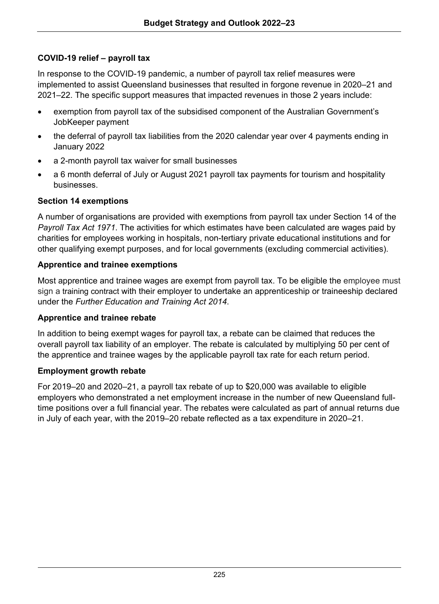#### **COVID-19 relief – payroll tax**

In response to the COVID-19 pandemic, a number of payroll tax relief measures were implemented to assist Queensland businesses that resulted in forgone revenue in 2020–21 and 2021–22. The specific support measures that impacted revenues in those 2 years include:

- exemption from payroll tax of the subsidised component of the Australian Government's JobKeeper payment
- the deferral of payroll tax liabilities from the 2020 calendar year over 4 payments ending in January 2022
- a 2-month payroll tax waiver for small businesses
- a 6 month deferral of July or August 2021 payroll tax payments for tourism and hospitality businesses.

#### **Section 14 exemptions**

A number of organisations are provided with exemptions from payroll tax under Section 14 of the *Payroll Tax Act 1971*. The activities for which estimates have been calculated are wages paid by charities for employees working in hospitals, non-tertiary private educational institutions and for other qualifying exempt purposes, and for local governments (excluding commercial activities).

#### **Apprentice and trainee exemptions**

Most apprentice and trainee wages are exempt from payroll tax. To be eligible the employee must sign a training contract with their employer to undertake an apprenticeship or traineeship declared under the *[Further Education and Training Act 2014](https://www.legislation.qld.gov.au/view/html/inforce/current/act-2014-025)*.

#### **Apprentice and trainee rebate**

In addition to being exempt wages for payroll tax, a rebate can be claimed that reduces the overall payroll tax liability of an employer. The rebate is calculated by multiplying 50 per cent of the apprentice and trainee wages by the applicable payroll tax rate for each return period.

#### **Employment growth rebate**

For 2019–20 and 2020–21, a payroll tax rebate of up to \$20,000 was available to eligible employers who demonstrated a net employment increase in the number of new Queensland fulltime positions over a full financial year. The rebates were calculated as part of annual returns due in July of each year, with the 2019–20 rebate reflected as a tax expenditure in 2020–21.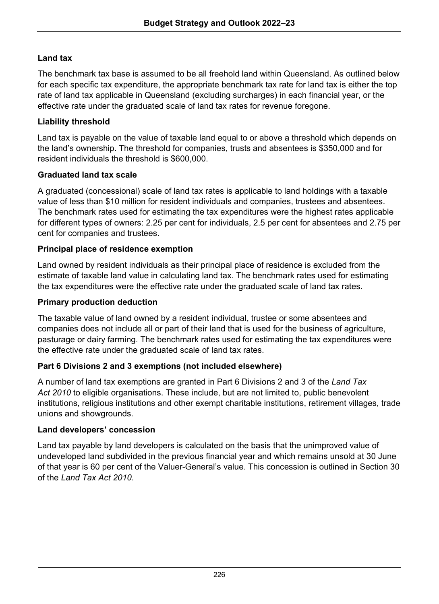#### **Land tax**

The benchmark tax base is assumed to be all freehold land within Queensland. As outlined below for each specific tax expenditure, the appropriate benchmark tax rate for land tax is either the top rate of land tax applicable in Queensland (excluding surcharges) in each financial year, or the effective rate under the graduated scale of land tax rates for revenue foregone.

#### **Liability threshold**

Land tax is payable on the value of taxable land equal to or above a threshold which depends on the land's ownership. The threshold for companies, trusts and absentees is \$350,000 and for resident individuals the threshold is \$600,000.

#### **Graduated land tax scale**

A graduated (concessional) scale of land tax rates is applicable to land holdings with a taxable value of less than \$10 million for resident individuals and companies, trustees and absentees. The benchmark rates used for estimating the tax expenditures were the highest rates applicable for different types of owners: 2.25 per cent for individuals, 2.5 per cent for absentees and 2.75 per cent for companies and trustees.

#### **Principal place of residence exemption**

Land owned by resident individuals as their principal place of residence is excluded from the estimate of taxable land value in calculating land tax. The benchmark rates used for estimating the tax expenditures were the effective rate under the graduated scale of land tax rates.

#### **Primary production deduction**

The taxable value of land owned by a resident individual, trustee or some absentees and companies does not include all or part of their land that is used for the business of agriculture, pasturage or dairy farming. The benchmark rates used for estimating the tax expenditures were the effective rate under the graduated scale of land tax rates.

#### **Part 6 Divisions 2 and 3 exemptions (not included elsewhere)**

A number of land tax exemptions are granted in Part 6 Divisions 2 and 3 of the *Land Tax Act 2010* to eligible organisations. These include, but are not limited to, public benevolent institutions, religious institutions and other exempt charitable institutions, retirement villages, trade unions and showgrounds.

#### **Land developers' concession**

Land tax payable by land developers is calculated on the basis that the unimproved value of undeveloped land subdivided in the previous financial year and which remains unsold at 30 June of that year is 60 per cent of the Valuer-General's value. This concession is outlined in Section 30 of the *Land Tax Act 2010*.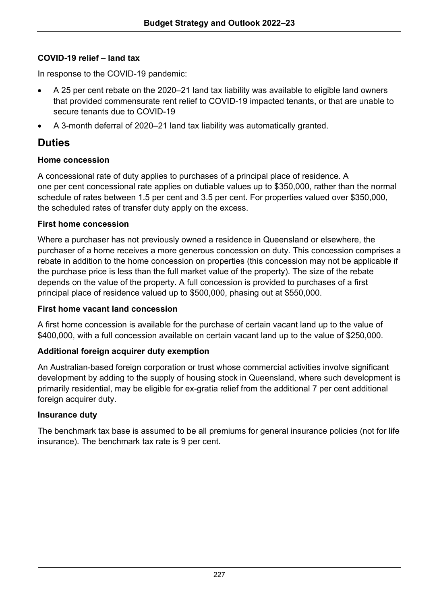#### **COVID-19 relief – land tax**

In response to the COVID-19 pandemic:

- A 25 per cent rebate on the 2020–21 land tax liability was available to eligible land owners that provided commensurate rent relief to COVID-19 impacted tenants, or that are unable to secure tenants due to COVID-19
- A 3-month deferral of 2020–21 land tax liability was automatically granted.

### **Duties**

#### **Home concession**

A concessional rate of duty applies to purchases of a principal place of residence. A one per cent concessional rate applies on dutiable values up to \$350,000, rather than the normal schedule of rates between 1.5 per cent and 3.5 per cent. For properties valued over \$350,000, the scheduled rates of transfer duty apply on the excess.

#### **First home concession**

Where a purchaser has not previously owned a residence in Queensland or elsewhere, the purchaser of a home receives a more generous concession on duty. This concession comprises a rebate in addition to the home concession on properties (this concession may not be applicable if the purchase price is less than the full market value of the property). The size of the rebate depends on the value of the property. A full concession is provided to purchases of a first principal place of residence valued up to \$500,000, phasing out at \$550,000.

#### **First home vacant land concession**

A first home concession is available for the purchase of certain vacant land up to the value of \$400,000, with a full concession available on certain vacant land up to the value of \$250,000.

#### **Additional foreign acquirer duty exemption**

An Australian-based foreign corporation or trust whose commercial activities involve significant development by adding to the supply of housing stock in Queensland, where such development is primarily residential, may be eligible for ex-gratia relief from the additional 7 per cent additional foreign acquirer duty.

#### **Insurance duty**

The benchmark tax base is assumed to be all premiums for general insurance policies (not for life insurance). The benchmark tax rate is 9 per cent.